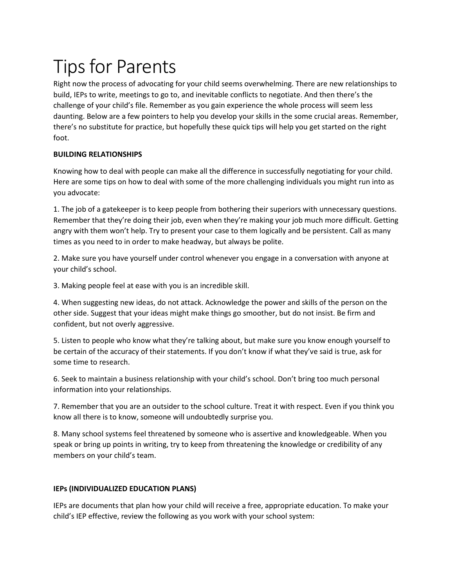# Tips for Parents

Right now the process of advocating for your child seems overwhelming. There are new relationships to build, IEPs to write, meetings to go to, and inevitable conflicts to negotiate. And then there's the challenge of your child's file. Remember as you gain experience the whole process will seem less daunting. Below are a few pointers to help you develop your skills in the some crucial areas. Remember, there's no substitute for practice, but hopefully these quick tips will help you get started on the right foot.

## **BUILDING RELATIONSHIPS**

Knowing how to deal with people can make all the difference in successfully negotiating for your child. Here are some tips on how to deal with some of the more challenging individuals you might run into as you advocate:

1. The job of a gatekeeper is to keep people from bothering their superiors with unnecessary questions. Remember that they're doing their job, even when they're making your job much more difficult. Getting angry with them won't help. Try to present your case to them logically and be persistent. Call as many times as you need to in order to make headway, but always be polite.

2. Make sure you have yourself under control whenever you engage in a conversation with anyone at your child's school.

3. Making people feel at ease with you is an incredible skill.

4. When suggesting new ideas, do not attack. Acknowledge the power and skills of the person on the other side. Suggest that your ideas might make things go smoother, but do not insist. Be firm and confident, but not overly aggressive.

5. Listen to people who know what they're talking about, but make sure you know enough yourself to be certain of the accuracy of their statements. If you don't know if what they've said is true, ask for some time to research.

6. Seek to maintain a business relationship with your child's school. Don't bring too much personal information into your relationships.

7. Remember that you are an outsider to the school culture. Treat it with respect. Even if you think you know all there is to know, someone will undoubtedly surprise you.

8. Many school systems feel threatened by someone who is assertive and knowledgeable. When you speak or bring up points in writing, try to keep from threatening the knowledge or credibility of any members on your child's team.

## **IEPs (INDIVIDUALIZED EDUCATION PLANS)**

IEPs are documents that plan how your child will receive a free, appropriate education. To make your child's IEP effective, review the following as you work with your school system: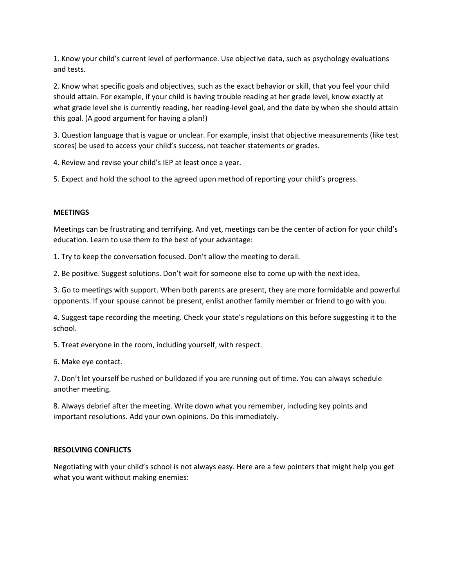1. Know your child's current level of performance. Use objective data, such as psychology evaluations and tests.

2. Know what specific goals and objectives, such as the exact behavior or skill, that you feel your child should attain. For example, if your child is having trouble reading at her grade level, know exactly at what grade level she is currently reading, her reading-level goal, and the date by when she should attain this goal. (A good argument for having a plan!)

3. Question language that is vague or unclear. For example, insist that objective measurements (like test scores) be used to access your child's success, not teacher statements or grades.

4. Review and revise your child's IEP at least once a year.

5. Expect and hold the school to the agreed upon method of reporting your child's progress.

#### **MEETINGS**

Meetings can be frustrating and terrifying. And yet, meetings can be the center of action for your child's education. Learn to use them to the best of your advantage:

1. Try to keep the conversation focused. Don't allow the meeting to derail.

2. Be positive. Suggest solutions. Don't wait for someone else to come up with the next idea.

3. Go to meetings with support. When both parents are present, they are more formidable and powerful opponents. If your spouse cannot be present, enlist another family member or friend to go with you.

4. Suggest tape recording the meeting. Check your state's regulations on this before suggesting it to the school.

5. Treat everyone in the room, including yourself, with respect.

6. Make eye contact.

7. Don't let yourself be rushed or bulldozed if you are running out of time. You can always schedule another meeting.

8. Always debrief after the meeting. Write down what you remember, including key points and important resolutions. Add your own opinions. Do this immediately.

#### **RESOLVING CONFLICTS**

Negotiating with your child's school is not always easy. Here are a few pointers that might help you get what you want without making enemies: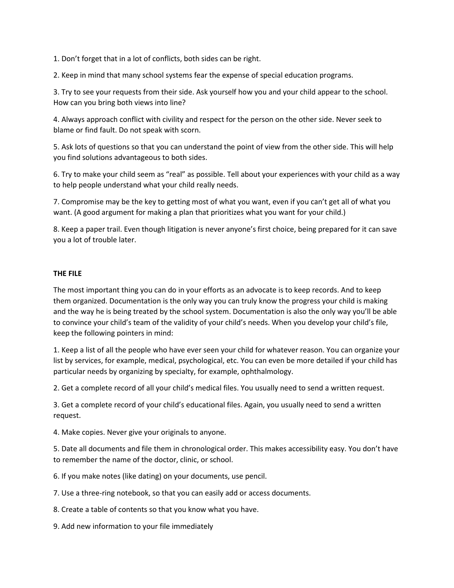1. Don't forget that in a lot of conflicts, both sides can be right.

2. Keep in mind that many school systems fear the expense of special education programs.

3. Try to see your requests from their side. Ask yourself how you and your child appear to the school. How can you bring both views into line?

4. Always approach conflict with civility and respect for the person on the other side. Never seek to blame or find fault. Do not speak with scorn.

5. Ask lots of questions so that you can understand the point of view from the other side. This will help you find solutions advantageous to both sides.

6. Try to make your child seem as "real" as possible. Tell about your experiences with your child as a way to help people understand what your child really needs.

7. Compromise may be the key to getting most of what you want, even if you can't get all of what you want. (A good argument for making a plan that prioritizes what you want for your child.)

8. Keep a paper trail. Even though litigation is never anyone's first choice, being prepared for it can save you a lot of trouble later.

### **THE FILE**

The most important thing you can do in your efforts as an advocate is to keep records. And to keep them organized. Documentation is the only way you can truly know the progress your child is making and the way he is being treated by the school system. Documentation is also the only way you'll be able to convince your child's team of the validity of your child's needs. When you develop your child's file, keep the following pointers in mind:

1. Keep a list of all the people who have ever seen your child for whatever reason. You can organize your list by services, for example, medical, psychological, etc. You can even be more detailed if your child has particular needs by organizing by specialty, for example, ophthalmology.

2. Get a complete record of all your child's medical files. You usually need to send a written request.

3. Get a complete record of your child's educational files. Again, you usually need to send a written request.

4. Make copies. Never give your originals to anyone.

5. Date all documents and file them in chronological order. This makes accessibility easy. You don't have to remember the name of the doctor, clinic, or school.

6. If you make notes (like dating) on your documents, use pencil.

7. Use a three-ring notebook, so that you can easily add or access documents.

- 8. Create a table of contents so that you know what you have.
- 9. Add new information to your file immediately